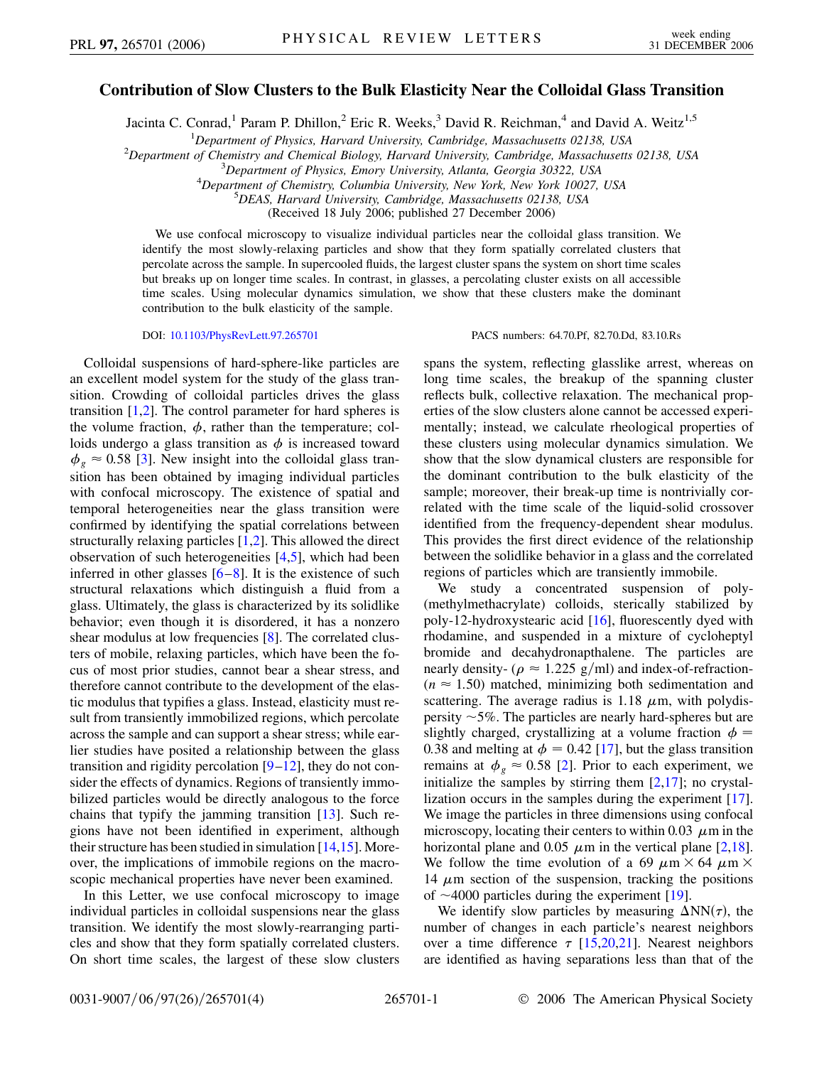## **Contribution of Slow Clusters to the Bulk Elasticity Near the Colloidal Glass Transition**

Jacinta C. Conrad,<sup>1</sup> Param P. Dhillon,<sup>2</sup> Eric R. Weeks,<sup>3</sup> David R. Reichman,<sup>4</sup> and David A. Weitz<sup>1,5</sup>

<sup>1</sup> Department of Physics, Harvard University, Cambridge, Massachusetts 02138, USA<br><sup>2</sup> Department of Chemistry and Chemical Biology, Harvard University, Cambridge, Massachusetts

<sup>2</sup>Department of Chemistry and Chemical Biology, Harvard University, Cambridge, Massachusetts 02138, USA

*Department of Physics, Emory University, Atlanta, Georgia 30322, USA* <sup>4</sup>

<sup>4</sup>Department of Chemistry, Columbia University, New York, New York 10027, USA

*DEAS, Harvard University, Cambridge, Massachusetts 02138, USA*

(Received 18 July 2006; published 27 December 2006)

We use confocal microscopy to visualize individual particles near the colloidal glass transition. We identify the most slowly-relaxing particles and show that they form spatially correlated clusters that percolate across the sample. In supercooled fluids, the largest cluster spans the system on short time scales but breaks up on longer time scales. In contrast, in glasses, a percolating cluster exists on all accessible time scales. Using molecular dynamics simulation, we show that these clusters make the dominant contribution to the bulk elasticity of the sample.

Colloidal suspensions of hard-sphere-like particles are an excellent model system for the study of the glass transition. Crowding of colloidal particles drives the glass transition  $[1,2]$  $[1,2]$  $[1,2]$ . The control parameter for hard spheres is the volume fraction,  $\phi$ , rather than the temperature; colloids undergo a glass transition as  $\phi$  is increased toward  $\phi$ <sub>g</sub>  $\approx$  0.58 [[3\]](#page-3-2). New insight into the colloidal glass transition has been obtained by imaging individual particles with confocal microscopy. The existence of spatial and temporal heterogeneities near the glass transition were confirmed by identifying the spatial correlations between structurally relaxing particles [\[1](#page-3-0)[,2](#page-3-1)]. This allowed the direct observation of such heterogeneities [[4](#page-3-3),[5](#page-3-4)], which had been inferred in other glasses  $[6-8]$  $[6-8]$  $[6-8]$ . It is the existence of such structural relaxations which distinguish a fluid from a glass. Ultimately, the glass is characterized by its solidlike behavior; even though it is disordered, it has a nonzero shear modulus at low frequencies [[8\]](#page-3-6). The correlated clusters of mobile, relaxing particles, which have been the focus of most prior studies, cannot bear a shear stress, and therefore cannot contribute to the development of the elastic modulus that typifies a glass. Instead, elasticity must result from transiently immobilized regions, which percolate across the sample and can support a shear stress; while earlier studies have posited a relationship between the glass transition and rigidity percolation  $[9-12]$  $[9-12]$  $[9-12]$  $[9-12]$ , they do not consider the effects of dynamics. Regions of transiently immobilized particles would be directly analogous to the force chains that typify the jamming transition [\[13\]](#page-3-9). Such regions have not been identified in experiment, although their structure has been studied in simulation  $[14,15]$  $[14,15]$  $[14,15]$  $[14,15]$  $[14,15]$ . Moreover, the implications of immobile regions on the macroscopic mechanical properties have never been examined.

In this Letter, we use confocal microscopy to image individual particles in colloidal suspensions near the glass transition. We identify the most slowly-rearranging particles and show that they form spatially correlated clusters. On short time scales, the largest of these slow clusters

DOI: [10.1103/PhysRevLett.97.265701](http://dx.doi.org/10.1103/PhysRevLett.97.265701) PACS numbers: 64.70.Pf, 82.70.Dd, 83.10.Rs

spans the system, reflecting glasslike arrest, whereas on long time scales, the breakup of the spanning cluster reflects bulk, collective relaxation. The mechanical properties of the slow clusters alone cannot be accessed experimentally; instead, we calculate rheological properties of these clusters using molecular dynamics simulation. We show that the slow dynamical clusters are responsible for the dominant contribution to the bulk elasticity of the sample; moreover, their break-up time is nontrivially correlated with the time scale of the liquid-solid crossover identified from the frequency-dependent shear modulus. This provides the first direct evidence of the relationship between the solidlike behavior in a glass and the correlated regions of particles which are transiently immobile.

We study a concentrated suspension of poly- (methylmethacrylate) colloids, sterically stabilized by poly-12-hydroxystearic acid [[16](#page-3-12)], fluorescently dyed with rhodamine, and suspended in a mixture of cycloheptyl bromide and decahydronapthalene. The particles are nearly density- ( $\rho \approx 1.225$  g/ml) and index-of-refraction- $(n \approx 1.50)$  matched, minimizing both sedimentation and scattering. The average radius is  $1.18 \mu m$ , with polydispersity  $\sim$  5%. The particles are nearly hard-spheres but are slightly charged, crystallizing at a volume fraction  $\phi =$ 0.38 and melting at  $\phi = 0.42$  [\[17\]](#page-3-13), but the glass transition remains at  $\phi_g \approx 0.58$  [\[2\]](#page-3-1). Prior to each experiment, we initialize the samples by stirring them  $[2,17]$  $[2,17]$  $[2,17]$  $[2,17]$  $[2,17]$ ; no crystallization occurs in the samples during the experiment [[17\]](#page-3-13). We image the particles in three dimensions using confocal microscopy, locating their centers to within 0.03  $\mu$ m in the horizontal plane and 0.05  $\mu$ m in the vertical plane [[2,](#page-3-1)[18\]](#page-3-14). We follow the time evolution of a 69  $\mu$ m  $\times$  64  $\mu$ m  $\times$ 14  $\mu$ m section of the suspension, tracking the positions of  $\sim$  4000 particles during the experiment [[19](#page-3-15)].

We identify slow particles by measuring  $\Delta NN(\tau)$ , the number of changes in each particle's nearest neighbors over a time difference  $\tau$  [[15](#page-3-11),[20](#page-3-16),[21](#page-3-17)]. Nearest neighbors are identified as having separations less than that of the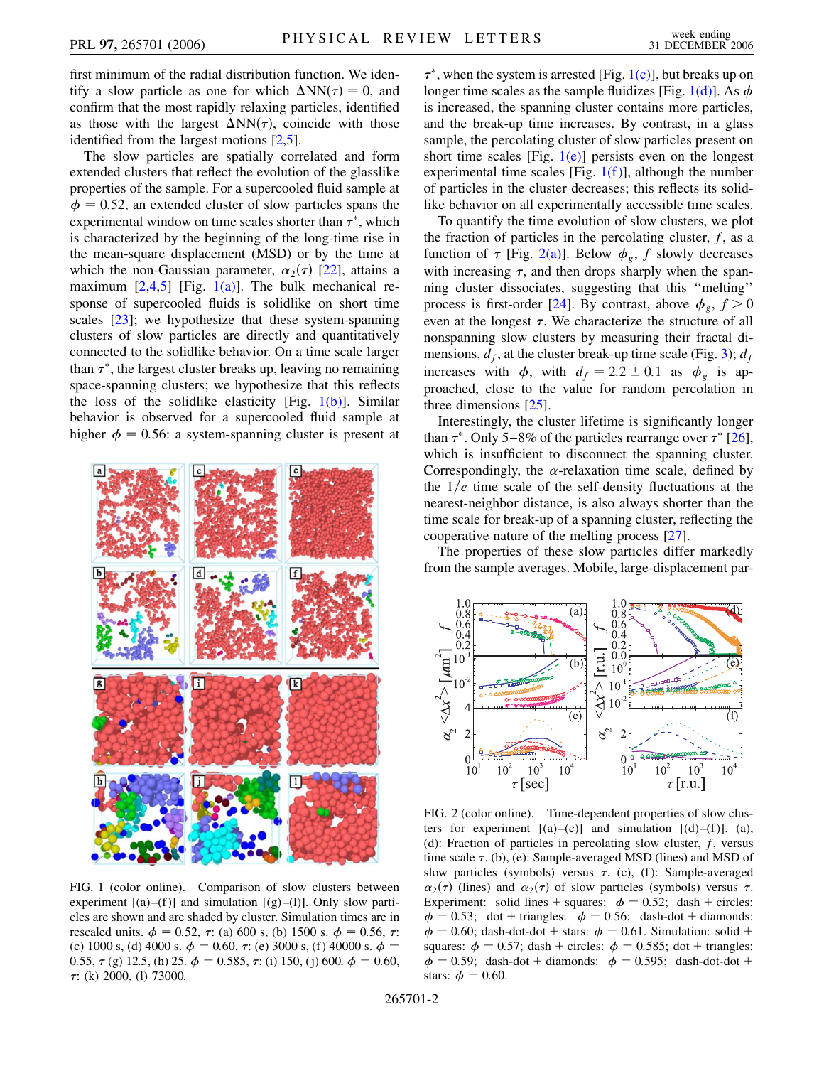first minimum of the radial distribution function. We identify a slow particle as one for which  $\Delta NN(\tau) = 0$ , and confirm that the most rapidly relaxing particles, identified as those with the largest  $\Delta NN(\tau)$ , coincide with those identified from the largest motions [\[2](#page-3-1),[5](#page-3-4)].

The slow particles are spatially correlated and form extended clusters that reflect the evolution of the glasslike properties of the sample. For a supercooled fluid sample at  $\phi = 0.52$ , an extended cluster of slow particles spans the experimental window on time scales shorter than  $\tau^*$ , which is characterized by the beginning of the long-time rise in the mean-square displacement (MSD) or by the time at which the non-Gaussian parameter,  $\alpha_2(\tau)$  [\[22\]](#page-3-18), attains a maximum  $[2,4,5]$  $[2,4,5]$  $[2,4,5]$  $[2,4,5]$  [Fig. [1\(a\)](#page-1-0)]. The bulk mechanical response of supercooled fluids is solidlike on short time scales [\[23\]](#page-3-19); we hypothesize that these system-spanning clusters of slow particles are directly and quantitatively connected to the solidlike behavior. On a time scale larger than  $\tau^*$ , the largest cluster breaks up, leaving no remaining space-spanning clusters; we hypothesize that this reflects the loss of the solidlike elasticity [Fig.  $1(b)$ ]. Similar behavior is observed for a supercooled fluid sample at higher  $\phi = 0.56$ : a system-spanning cluster is present at



FIG. 1 (color online). Comparison of slow clusters between experiment  $[(a)–(f)]$  and simulation  $[(g)–(l)]$ . Only slow particles are shown and are shaded by cluster. Simulation times are in rescaled units.  $\phi = 0.52$ ,  $\tau$ : (a) 600 s, (b) 1500 s.  $\phi = 0.56$ ,  $\tau$ : (c) 1000 s, (d) 4000 s.  $\phi = 0.60$ ,  $\tau$ : (e) 3000 s, (f) 40000 s.  $\phi =$ 0.55,  $\tau$  (g) 12.5, (h) 25.  $\phi$  = 0.585,  $\tau$ : (i) 150, (j) 600.  $\phi$  = 0.60,  $\tau$ : (k) 2000, (l) 73000.

 $\tau^*$ , when the system is arrested [Fig. [1\(c\)\]](#page-1-0), but breaks up on longer time scales as the sample fluidizes [Fig. [1\(d\)](#page-1-0)]. As  $\phi$ is increased, the spanning cluster contains more particles, and the break-up time increases. By contrast, in a glass sample, the percolating cluster of slow particles present on short time scales [Fig.  $1(e)$ ] persists even on the longest experimental time scales [Fig.  $1(f)$ ], although the number of particles in the cluster decreases; this reflects its solidlike behavior on all experimentally accessible time scales.

To quantify the time evolution of slow clusters, we plot the fraction of particles in the percolating cluster,  $f$ , as a function of  $\tau$  [Fig. [2\(a\)](#page-1-1)]. Below  $\phi_g$ , f slowly decreases with increasing  $\tau$ , and then drops sharply when the spanning cluster dissociates, suggesting that this ''melting'' process is first-order [[24](#page-3-20)]. By contrast, above  $\phi$ <sub>e</sub>,  $f > 0$ even at the longest  $\tau$ . We characterize the structure of all nonspanning slow clusters by measuring their fractal dimensions,  $d_f$ , at the cluster break-up time scale (Fig. [3](#page-2-0));  $d_f$ increases with  $\phi$ , with  $d_f = 2.2 \pm 0.1$  as  $\phi_g$  is approached, close to the value for random percolation in three dimensions [\[25\]](#page-3-21).

Interestingly, the cluster lifetime is significantly longer than  $\tau^*$ . Only 5–8% of the particles rearrange over  $\tau^*$  [[26\]](#page-3-22), which is insufficient to disconnect the spanning cluster. Correspondingly, the  $\alpha$ -relaxation time scale, defined by the  $1/e$  time scale of the self-density fluctuations at the nearest-neighbor distance, is also always shorter than the time scale for break-up of a spanning cluster, reflecting the cooperative nature of the melting process [[27](#page-3-23)].

The properties of these slow particles differ markedly from the sample averages. Mobile, large-displacement par-



<span id="page-1-1"></span><span id="page-1-0"></span>FIG. 2 (color online). Time-dependent properties of slow clusters for experiment  $[(a)-(c)]$  and simulation  $[(d)-(f)]$ . (a), (d): Fraction of particles in percolating slow cluster, *f*, versus time scale  $\tau$ . (b), (e): Sample-averaged MSD (lines) and MSD of slow particles (symbols) versus  $\tau$ . (c), (f): Sample-averaged  $\alpha_2(\tau)$  (lines) and  $\alpha_2(\tau)$  of slow particles (symbols) versus  $\tau$ . Experiment: solid lines + squares:  $\phi = 0.52$ ; dash + circles:  $\phi = 0.53$ ; dot + triangles:  $\phi = 0.56$ ; dash-dot + diamonds:  $\phi = 0.60$ ; dash-dot-dot + stars:  $\phi = 0.61$ . Simulation: solid + squares:  $\phi = 0.57$ ; dash + circles:  $\phi = 0.585$ ; dot + triangles:  $\phi = 0.59$ ; dash-dot + diamonds:  $\phi = 0.595$ ; dash-dot-dot + stars:  $\phi = 0.60$ .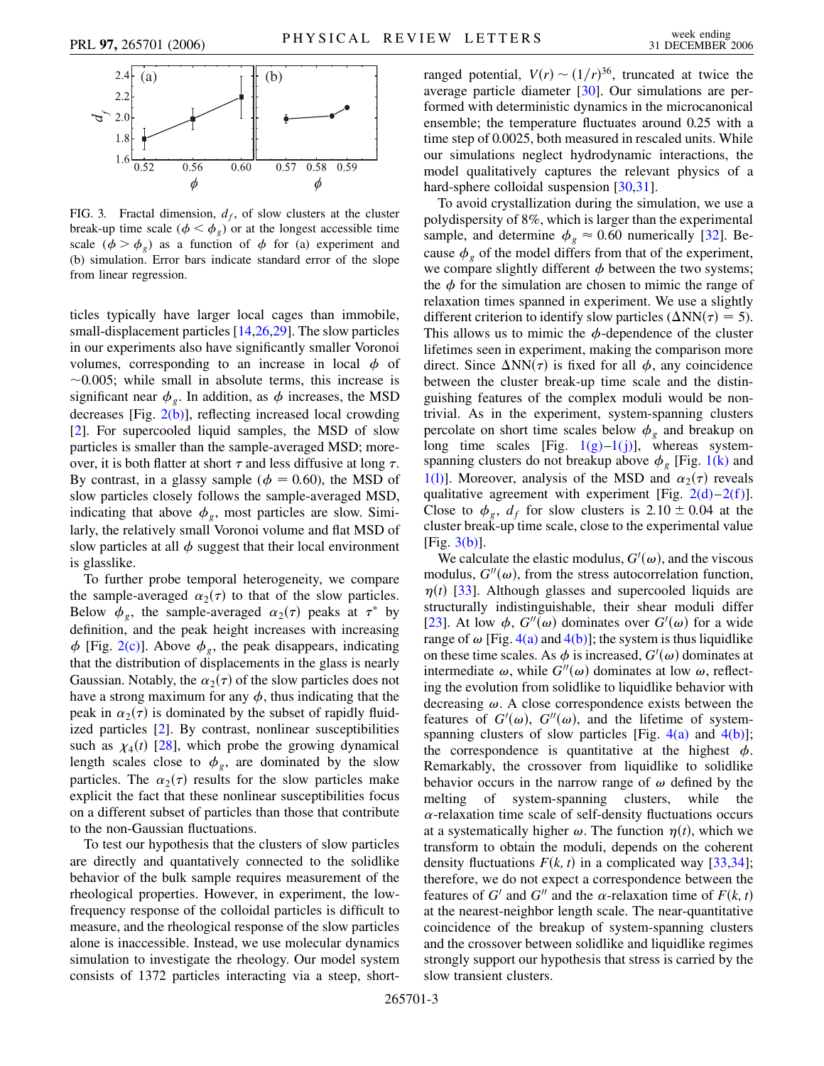<span id="page-2-0"></span>

<span id="page-2-1"></span>FIG. 3. Fractal dimension,  $d_f$ , of slow clusters at the cluster break-up time scale  $(\phi < \phi_g)$  or at the longest accessible time scale  $(\phi > \phi_{\varrho})$  as a function of  $\phi$  for (a) experiment and (b) simulation. Error bars indicate standard error of the slope from linear regression.

ticles typically have larger local cages than immobile, small-displacement particles [[14](#page-3-10),[26](#page-3-22),[29](#page-3-24)]. The slow particles in our experiments also have significantly smaller Voronoi volumes, corresponding to an increase in local  $\phi$  of  $\sim$ 0.005; while small in absolute terms, this increase is significant near  $\phi_{g}$ . In addition, as  $\phi$  increases, the MSD decreases [Fig. [2\(b\)](#page-1-1)], reflecting increased local crowding [\[2\]](#page-3-1). For supercooled liquid samples, the MSD of slow particles is smaller than the sample-averaged MSD; moreover, it is both flatter at short  $\tau$  and less diffusive at long  $\tau$ . By contrast, in a glassy sample ( $\phi = 0.60$ ), the MSD of slow particles closely follows the sample-averaged MSD, indicating that above  $\phi_{g}$ , most particles are slow. Similarly, the relatively small Voronoi volume and flat MSD of slow particles at all  $\phi$  suggest that their local environment is glasslike.

To further probe temporal heterogeneity, we compare the sample-averaged  $\alpha_2(\tau)$  to that of the slow particles. Below  $\phi_g$ , the sample-averaged  $\alpha_2(\tau)$  peaks at  $\tau^*$  by definition, and the peak height increases with increasing  $\phi$  [Fig. [2\(c\)](#page-1-1)]. Above  $\phi_g$ , the peak disappears, indicating that the distribution of displacements in the glass is nearly Gaussian. Notably, the  $\alpha_2(\tau)$  of the slow particles does not have a strong maximum for any  $\phi$ , thus indicating that the peak in  $\alpha_2(\tau)$  is dominated by the subset of rapidly fluidized particles [[2\]](#page-3-1). By contrast, nonlinear susceptibilities such as  $\chi_4(t)$  [[28](#page-3-25)], which probe the growing dynamical length scales close to  $\phi_g$ , are dominated by the slow particles. The  $\alpha_2(\tau)$  results for the slow particles make explicit the fact that these nonlinear susceptibilities focus on a different subset of particles than those that contribute to the non-Gaussian fluctuations.

To test our hypothesis that the clusters of slow particles are directly and quantatively connected to the solidlike behavior of the bulk sample requires measurement of the rheological properties. However, in experiment, the lowfrequency response of the colloidal particles is difficult to measure, and the rheological response of the slow particles alone is inaccessible. Instead, we use molecular dynamics simulation to investigate the rheology. Our model system consists of 1372 particles interacting via a steep, short-

ranged potential,  $V(r) \sim (1/r)^{36}$ , truncated at twice the average particle diameter [\[30\]](#page-3-26). Our simulations are performed with deterministic dynamics in the microcanonical ensemble; the temperature fluctuates around 0.25 with a time step of 0.0025, both measured in rescaled units. While our simulations neglect hydrodynamic interactions, the model qualitatively captures the relevant physics of a hard-sphere colloidal suspension [[30](#page-3-26),[31](#page-3-27)].

To avoid crystallization during the simulation, we use a polydispersity of 8%, which is larger than the experimental sample, and determine  $\phi_g \approx 0.60$  numerically [\[32\]](#page-3-28). Because  $\phi$ <sub>o</sub> of the model differs from that of the experiment, we compare slightly different  $\phi$  between the two systems; the  $\phi$  for the simulation are chosen to mimic the range of relaxation times spanned in experiment. We use a slightly different criterion to identify slow particles ( $\Delta NN(\tau) = 5$ ). This allows us to mimic the  $\phi$ -dependence of the cluster lifetimes seen in experiment, making the comparison more direct. Since  $\Delta NN(\tau)$  is fixed for all  $\phi$ , any coincidence between the cluster break-up time scale and the distinguishing features of the complex moduli would be nontrivial. As in the experiment, system-spanning clusters percolate on short time scales below  $\phi_g$  and breakup on long time scales [Fig.  $1(g)-1(j)$ ], whereas systemspanning clusters do not breakup above  $\phi_{g}$  [Fig. [1\(k\)](#page-1-0) and [1\(l\)](#page-1-0)]. Moreover, analysis of the MSD and  $\alpha_2(\tau)$  reveals qualitative agreement with experiment [Fig.  $2(d)-2(f)$ ]. Close to  $\phi_g$ ,  $d_f$  for slow clusters is 2.10  $\pm$  0.04 at the cluster break-up time scale, close to the experimental value  $[Fig. 3(b)].$  $[Fig. 3(b)].$  $[Fig. 3(b)].$ 

We calculate the elastic modulus,  $G'(\omega)$ , and the viscous modulus,  $G''(\omega)$ , from the stress autocorrelation function,  $\eta(t)$  [\[33\]](#page-3-29). Although glasses and supercooled liquids are structurally indistinguishable, their shear moduli differ [\[23\]](#page-3-19). At low  $\phi$ ,  $G''(\omega)$  dominates over  $G'(\omega)$  for a wide range of  $\omega$  [Fig. [4\(a\)](#page-3-30) and [4\(b\)\]](#page-3-30); the system is thus liquidlike on these time scales. As  $\phi$  is increased,  $G'(\omega)$  dominates at intermediate  $\omega$ , while  $G''(\omega)$  dominates at low  $\omega$ , reflecting the evolution from solidlike to liquidlike behavior with decreasing  $\omega$ . A close correspondence exists between the features of  $G'(\omega)$ ,  $G''(\omega)$ , and the lifetime of systemspanning clusters of slow particles [Fig.  $4(a)$  and  $4(b)$ ]; the correspondence is quantitative at the highest  $\phi$ . Remarkably, the crossover from liquidlike to solidlike behavior occurs in the narrow range of  $\omega$  defined by the melting of system-spanning clusters, while the  $\alpha$ -relaxation time scale of self-density fluctuations occurs at a systematically higher  $\omega$ . The function  $\eta(t)$ , which we transform to obtain the moduli, depends on the coherent density fluctuations  $F(k, t)$  in a complicated way [\[33,](#page-3-29)[34\]](#page-3-31); therefore, we do not expect a correspondence between the features of *G*<sup> $\prime$ </sup> and *G*<sup> $\prime\prime$ </sup> and the  $\alpha$ -relaxation time of *F*(*k*, *t*) at the nearest-neighbor length scale. The near-quantitative coincidence of the breakup of system-spanning clusters and the crossover between solidlike and liquidlike regimes strongly support our hypothesis that stress is carried by the slow transient clusters.